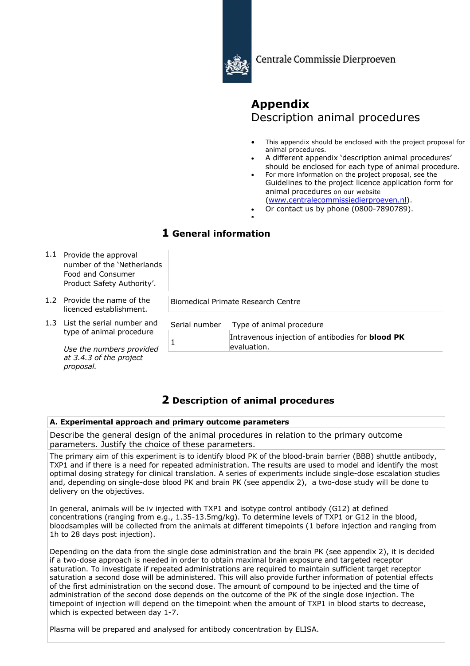

Centrale Commissie Dierproeven

# **Appendix** Description animal procedures

- This appendix should be enclosed with the project proposal for animal procedures.
- A different appendix 'description animal procedures' should be enclosed for each type of animal procedure.
- For more information on the project proposal, see the Guidelines to the project licence application form for animal procedures on our website (www.centralecommissiedierproeven.nl).
- 
- Or contact us by phone (0800-7890789). •

## **1 General information**

- 1.1 Provide the approval number of the 'Netherlands Food and Consumer Product Safety Authority'.
- 1.2 Provide the name of the licenced establishment.
- 1.3 List the serial number and type of animal procedure

*Use the numbers provided at 3.4.3 of the project proposal.*

| Serial number Type of animal procedure                                 |
|------------------------------------------------------------------------|
| Intravenous injection of antibodies for <b>blood PK</b><br>evaluation. |
|                                                                        |

## **2 Description of animal procedures**

Biomedical Primate Research Centre

## **A. Experimental approach and primary outcome parameters**

Describe the general design of the animal procedures in relation to the primary outcome parameters. Justify the choice of these parameters.

The primary aim of this experiment is to identify blood PK of the blood-brain barrier (BBB) shuttle antibody, TXP1 and if there is a need for repeated administration. The results are used to model and identify the most optimal dosing strategy for clinical translation. A series of experiments include single-dose escalation studies and, depending on single-dose blood PK and brain PK (see appendix 2), a two-dose study will be done to delivery on the objectives.

In general, animals will be iv injected with TXP1 and isotype control antibody (G12) at defined concentrations (ranging from e.g., 1.35-13.5mg/kg). To determine levels of TXP1 or G12 in the blood, bloodsamples will be collected from the animals at different timepoints (1 before injection and ranging from 1h to 28 days post injection).

Depending on the data from the single dose administration and the brain PK (see appendix 2), it is decided if a two-dose approach is needed in order to obtain maximal brain exposure and targeted receptor saturation. To investigate if repeated administrations are required to maintain sufficient target receptor saturation a second dose will be administered. This will also provide further information of potential effects of the first administration on the second dose. The amount of compound to be injected and the time of administration of the second dose depends on the outcome of the PK of the single dose injection. The timepoint of injection will depend on the timepoint when the amount of TXP1 in blood starts to decrease, which is expected between day 1-7.

Plasma will be prepared and analysed for antibody concentration by ELISA.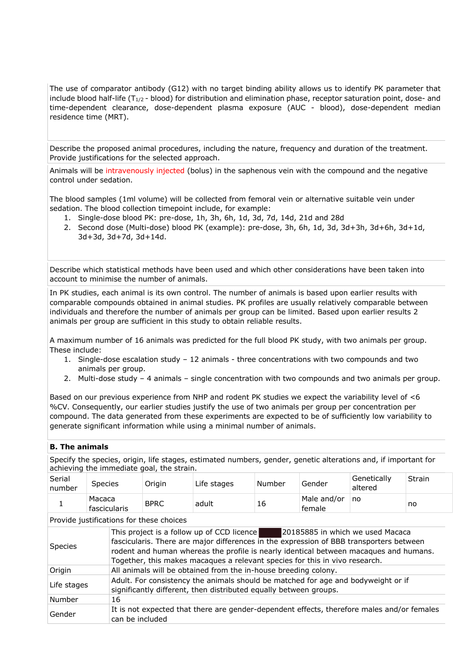The use of comparator antibody (G12) with no target binding ability allows us to identify PK parameter that include blood half-life ( $T_{1/2}$  - blood) for distribution and elimination phase, receptor saturation point, dose- and time-dependent clearance, dose-dependent plasma exposure (AUC - blood), dose-dependent median residence time (MRT).

Describe the proposed animal procedures, including the nature, frequency and duration of the treatment. Provide justifications for the selected approach.

Animals will be intravenously injected (bolus) in the saphenous vein with the compound and the negative control under sedation.

The blood samples (1ml volume) will be collected from femoral vein or alternative suitable vein under sedation. The blood collection timepoint include, for example:

- 1. Single-dose blood PK: pre-dose, 1h, 3h, 6h, 1d, 3d, 7d, 14d, 21d and 28d
- 2. Second dose (Multi-dose) blood PK (example): pre-dose, 3h, 6h, 1d, 3d, 3d+3h, 3d+6h, 3d+1d, 3d+3d, 3d+7d, 3d+14d.

Describe which statistical methods have been used and which other considerations have been taken into account to minimise the number of animals.

In PK studies, each animal is its own control. The number of animals is based upon earlier results with comparable compounds obtained in animal studies. PK profiles are usually relatively comparable between individuals and therefore the number of animals per group can be limited. Based upon earlier results 2 animals per group are sufficient in this study to obtain reliable results.

A maximum number of 16 animals was predicted for the full blood PK study, with two animals per group. These include:

- 1. Single-dose escalation study 12 animals three concentrations with two compounds and two animals per group.
- 2. Multi-dose study 4 animals single concentration with two compounds and two animals per group.

Based on our previous experience from NHP and rodent PK studies we expect the variability level of <6 %CV. Consequently, our earlier studies justify the use of two animals per group per concentration per compound. The data generated from these experiments are expected to be of sufficiently low variability to generate significant information while using a minimal number of animals.

## **B. The animals**

Specify the species, origin, life stages, estimated numbers, gender, genetic alterations and, if important for achieving the immediate goal, the strain.

| Serial<br>number | <b>Species</b>         | Origin      | Life stages | Number | Gender                | ' Genetically<br>altered | Strain |
|------------------|------------------------|-------------|-------------|--------|-----------------------|--------------------------|--------|
|                  | Macaca<br>fascicularis | <b>BPRC</b> | adult       | 16     | Male and/or<br>female | no                       | no     |

Provide justifications for these choices

| Species     | This project is a follow up of CCD licence<br>20185885 in which we used Macaca<br>fascicularis. There are major differences in the expression of BBB transporters between<br>rodent and human whereas the profile is nearly identical between macaques and humans.<br>Together, this makes macaques a relevant species for this in vivo research. |
|-------------|---------------------------------------------------------------------------------------------------------------------------------------------------------------------------------------------------------------------------------------------------------------------------------------------------------------------------------------------------|
| Origin      | All animals will be obtained from the in-house breeding colony.                                                                                                                                                                                                                                                                                   |
| Life stages | Adult. For consistency the animals should be matched for age and bodyweight or if<br>significantly different, then distributed equally between groups.                                                                                                                                                                                            |
| Number      | 16                                                                                                                                                                                                                                                                                                                                                |
| Gender      | It is not expected that there are gender-dependent effects, therefore males and/or females<br>can be included                                                                                                                                                                                                                                     |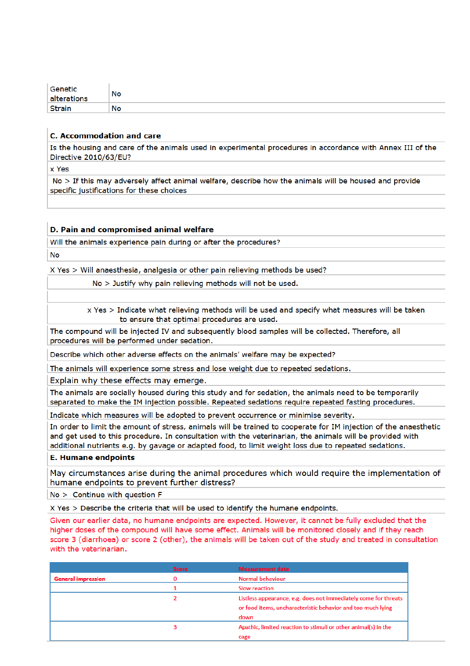| Genetic        | No |
|----------------|----|
| altera<br>ions |    |
| Ctrair         | No |

#### **C. Accommodation and care**

Is the housing and care of the animals used in experimental procedures in accordance with Annex III of the Directive 2010/63/EU?

x Yes

No > If this may adversely affect animal welfare, describe how the animals will be housed and provide specific justifications for these choices

#### D. Pain and compromised animal welfare

Will the animals experience pain during or after the procedures? **No** 

X Yes > Will anaesthesia, analgesia or other pain relieving methods be used?

No > Justify why pain relieving methods will not be used.

x Yes > Indicate what relieving methods will be used and specify what measures will be taken to ensure that optimal procedures are used.

The compound will be injected IV and subsequently blood samples will be collected. Therefore, all procedures will be performed under sedation.

Describe which other adverse effects on the animals' welfare may be expected?

The animals will experience some stress and lose weight due to repeated sedations.

Explain why these effects may emerge.

The animals are socially housed during this study and for sedation, the animals need to be temporarily separated to make the IM injection possible. Repeated sedations require repeated fasting procedures.

Indicate which measures will be adopted to prevent occurrence or minimise severity.

In order to limit the amount of stress, animals will be trained to cooperate for IM injection of the anaesthetic and get used to this procedure. In consultation with the veterinarian, the animals will be provided with additional nutrients e.g. by gavage or adapted food, to limit weight loss due to repeated sedations.

#### **E. Humane endpoints**

May circumstances arise during the animal procedures which would require the implementation of humane endpoints to prevent further distress?

 $No >$  Continue with question F

X Yes > Describe the criteria that will be used to identify the humane endpoints.

Given our earlier data, no humane endpoints are expected. However, it cannot be fully excluded that the higher doses of the compound will have some effect. Animals will be monitored closely and if they reach score 3 (diarrhoea) or score 2 (other), the animals will be taken out of the study and treated in consultation with the veterinarian.

|                           | <b>Score</b> | <b>Measurement data</b>                                         |
|---------------------------|--------------|-----------------------------------------------------------------|
| <b>General impression</b> |              | Normal behaviour                                                |
|                           |              | <b>Slow reaction</b>                                            |
|                           |              | Listless appearance, e.g. does not immediately come for threats |
|                           |              | or food items, uncharacteristic behavior and too much lying     |
|                           |              | down                                                            |
|                           |              | Apathic, limited reaction to stimuli or other animal(s) in the  |
|                           |              | cage                                                            |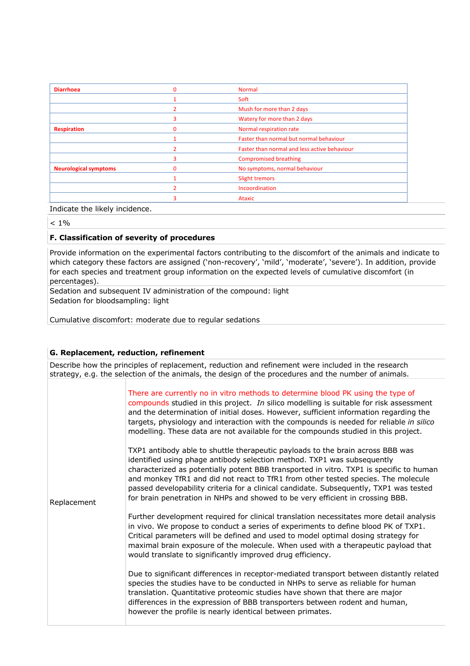| <b>Diarrhoea</b>             | $\Omega$ | <b>Normal</b>                                |
|------------------------------|----------|----------------------------------------------|
|                              |          | Soft                                         |
|                              |          | Mush for more than 2 days                    |
|                              |          | Watery for more than 2 days                  |
| <b>Respiration</b>           | $\Omega$ | Normal respiration rate                      |
|                              |          | Faster than normal but normal behaviour      |
|                              |          | Faster than normal and less active behaviour |
|                              |          | <b>Compromised breathing</b>                 |
| <b>Neurological symptoms</b> |          | No symptoms, normal behaviour                |
|                              |          | <b>Slight tremors</b>                        |
|                              |          | Incoordination                               |
|                              |          | <b>Ataxic</b>                                |

Indicate the likely incidence.

 $< 1\%$ 

## **F. Classification of severity of procedures**

Provide information on the experimental factors contributing to the discomfort of the animals and indicate to which category these factors are assigned ('non-recovery', 'mild', 'moderate', 'severe'). In addition, provide for each species and treatment group information on the expected levels of cumulative discomfort (in percentages).

Sedation and subsequent IV administration of the compound: light Sedation for bloodsampling: light

Cumulative discomfort: moderate due to regular sedations

## **G. Replacement, reduction, refinement**

Describe how the principles of replacement, reduction and refinement were included in the research strategy, e.g. the selection of the animals, the design of the procedures and the number of animals.

| Replacement | There are currently no in vitro methods to determine blood PK using the type of<br>compounds studied in this project. In silico modelling is suitable for risk assessment<br>and the determination of initial doses. However, sufficient information regarding the<br>targets, physiology and interaction with the compounds is needed for reliable in silico<br>modelling. These data are not available for the compounds studied in this project.<br>TXP1 antibody able to shuttle therapeutic payloads to the brain across BBB was<br>identified using phage antibody selection method. TXP1 was subsequently<br>characterized as potentially potent BBB transported in vitro. TXP1 is specific to human<br>and monkey TfR1 and did not react to TfR1 from other tested species. The molecule<br>passed developability criteria for a clinical candidate. Subsequently, TXP1 was tested<br>for brain penetration in NHPs and showed to be very efficient in crossing BBB. |
|-------------|------------------------------------------------------------------------------------------------------------------------------------------------------------------------------------------------------------------------------------------------------------------------------------------------------------------------------------------------------------------------------------------------------------------------------------------------------------------------------------------------------------------------------------------------------------------------------------------------------------------------------------------------------------------------------------------------------------------------------------------------------------------------------------------------------------------------------------------------------------------------------------------------------------------------------------------------------------------------------|
|             | Further development required for clinical translation necessitates more detail analysis<br>in vivo. We propose to conduct a series of experiments to define blood PK of TXP1.<br>Critical parameters will be defined and used to model optimal dosing strategy for<br>maximal brain exposure of the molecule. When used with a therapeutic payload that<br>would translate to significantly improved drug efficiency.<br>Due to significant differences in receptor-mediated transport between distantly related<br>species the studies have to be conducted in NHPs to serve as reliable for human<br>translation. Quantitative proteomic studies have shown that there are major<br>differences in the expression of BBB transporters between rodent and human,<br>however the profile is nearly identical between primates.                                                                                                                                               |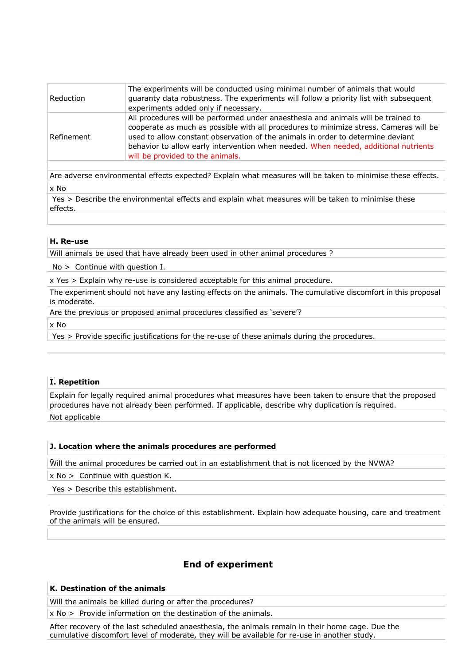| Reduction  | The experiments will be conducted using minimal number of animals that would<br>guaranty data robustness. The experiments will follow a priority list with subsequent<br>experiments added only if necessary.                                                                                                                                                                            |
|------------|------------------------------------------------------------------------------------------------------------------------------------------------------------------------------------------------------------------------------------------------------------------------------------------------------------------------------------------------------------------------------------------|
| Refinement | All procedures will be performed under anaesthesia and animals will be trained to<br>cooperate as much as possible with all procedures to minimize stress. Cameras will be<br>used to allow constant observation of the animals in order to determine deviant<br>behavior to allow early intervention when needed. When needed, additional nutrients<br>will be provided to the animals. |

Are adverse environmental effects expected? Explain what measures will be taken to minimise these effects. x No

Yes > Describe the environmental effects and explain what measures will be taken to minimise these effects.

#### **H. Re-use**

Will animals be used that have already been used in other animal procedures ?

No > Continue with question I.

x Yes > Explain why re-use is considered acceptable for this animal procedure.

The experiment should not have any lasting effects on the animals. The cumulative discomfort in this proposal is moderate.

Are the previous or proposed animal procedures classified as 'severe'?

x No

Yes > Provide specific justifications for the re-use of these animals during the procedures.

## **HI. Repetition**

Explain for legally required animal procedures what measures have been taken to ensure that the proposed procedures have not already been performed. If applicable, describe why duplication is required.

Not applicable

#### **J. Location where the animals procedures are performed**

• Will the animal procedures be carried out in an establishment that is not licenced by the NVWA?

x No > Continue with question K.

Yes > Describe this establishment.

Provide justifications for the choice of this establishment. Explain how adequate housing, care and treatment of the animals will be ensured.

## **End of experiment**

#### **K. Destination of the animals**

Will the animals be killed during or after the procedures?

x No > Provide information on the destination of the animals.

After recovery of the last scheduled anaesthesia, the animals remain in their home cage. Due the cumulative discomfort level of moderate, they will be available for re-use in another study.